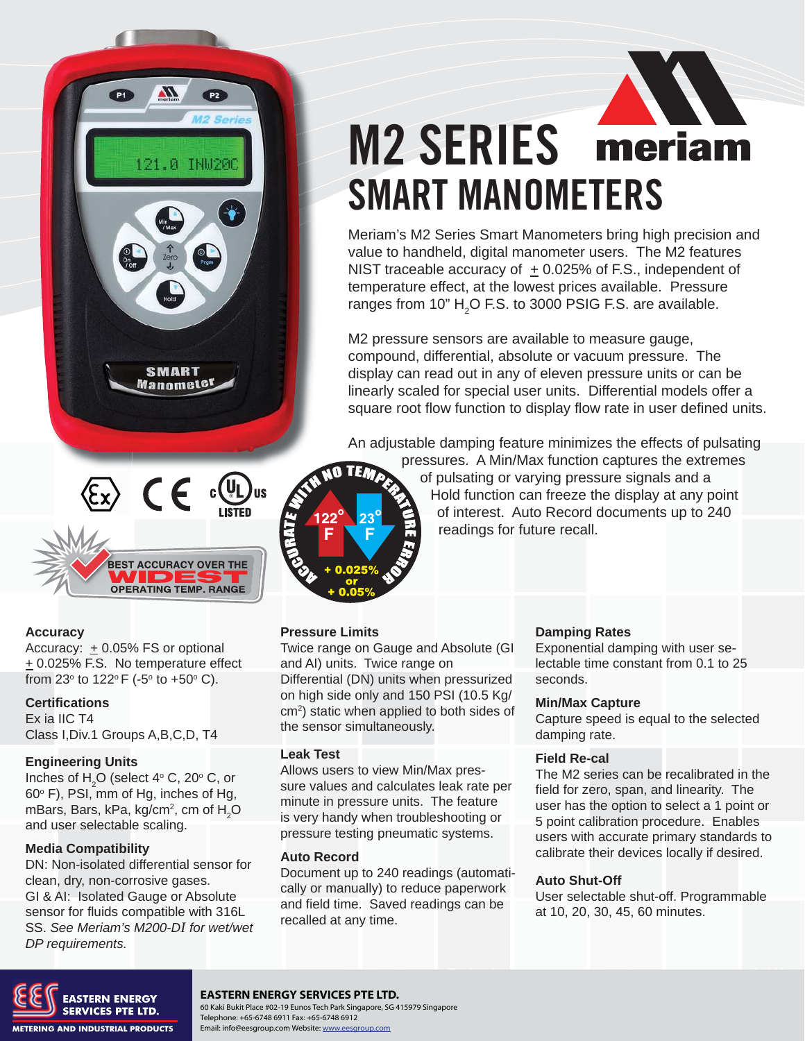



#### **Accuracy**

Accuracy:  $\pm$  0.05% FS or optional  $\pm$  0.025% F.S. No temperature effect from 23° to 122°F (-5° to +50° C).

#### **Certifications**

Ex ia IIC T4 Class I,Div.1 Groups A,B,C,D, T4

#### **Engineering Units**

Inches of  $H_2O$  (select 4 $\degree$  C, 20 $\degree$  C, or 60° F), PSI, mm of Hg, inches of Hg, mBars, Bars, kPa, kg/cm $^2$ , cm of  $\mathsf{H}_2\mathsf{O}$ and user selectable scaling.

#### **Media Compatibility**

DN: Non-isolated differential sensor for clean, dry, non-corrosive gases. GI & AI: Isolated Gauge or Absolute sensor for fluids compatible with 316L SS. *See Meriam's M200-DI for wet/wet DP requirements.*

# **M2 SERIES** meriam SMART MANOMETERS

Meriam's M2 Series Smart Manometers bring high precision and value to handheld, digital manometer users. The M2 features NIST traceable accuracy of  $+0.025%$  of F.S., independent of temperature effect, at the lowest prices available. Pressure ranges from 10"  $H_2O$  F.S. to 3000 PSIG F.S. are available.

M2 pressure sensors are available to measure gauge, compound, differential, absolute or vacuum pressure. The display can read out in any of eleven pressure units or can be linearly scaled for special user units. Differential models offer a square root flow function to display flow rate in user defined units.

An adjustable damping feature minimizes the effects of pulsating



pressures. A Min/Max function captures the extremes of pulsating or varying pressure signals and a Hold function can freeze the display at any point of interest. Auto Record documents up to 240 readings for future recall.

#### **Pressure Limits**

Twice range on Gauge and Absolute (GI and AI) units. Twice range on Differential (DN) units when pressurized on high side only and 150 PSI (10.5 Kg/ cm2 ) static when applied to both sides of the sensor simultaneously.

#### **Leak Test**

Allows users to view Min/Max pressure values and calculates leak rate per minute in pressure units. The feature is very handy when troubleshooting or pressure testing pneumatic systems.

#### **Auto Record**

Document up to 240 readings (automatically or manually) to reduce paperwork and field time. Saved readings can be recalled at any time.

#### **Damping Rates**

Exponential damping with user selectable time constant from 0.1 to 25 seconds.

#### **Min/Max Capture**

Capture speed is equal to the selected damping rate.

#### **Field Re-cal**

The M2 series can be recalibrated in the field for zero, span, and linearity. The user has the option to select a 1 point or 5 point calibration procedure. Enables users with accurate primary standards to calibrate their devices locally if desired.

#### **Auto Shut-Off**

User selectable shut-off. Programmable at 10, 20, 30, 45, 60 minutes.



#### **Meriam Process Technologies** 10920 Madison Avenue, Cleveland, OH 44102 **EASTERN ENERGY SERVICES PTE LTD.**

SUMMAN LINE: 60 Kaki Bukit Place #02-19 Eunos Tech Park Singapore, SG 415979 Singapore<br>
Telephone: +65-6748 6911 Fax: +65-6748 6912 Telephone: +65-6748 6911 Fax: +65-6748 6912 Email: info@eesgroup.com Website: www.eesgroup.com